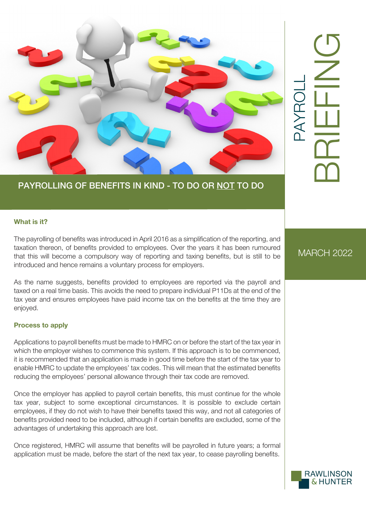

# PAYROLLING OF BENEFITS IN KIND - TO DO OR NOT TO DO

#### **What is it?**

The payrolling of benefits was introduced in April 2016 as a simplification of the reporting, and taxation thereon, of benefits provided to employees. Over the years it has been rumoured that this will become a compulsory way of reporting and taxing benefits, but is still to be introduced and hence remains a voluntary process for employers.

As the name suggests, benefits provided to employees are reported via the payroll and taxed on a real time basis. This avoids the need to prepare individual P11Ds at the end of the tax year and ensures employees have paid income tax on the benefits at the time they are enjoyed.

#### **Process to apply**

Applications to payroll benefits must be made to HMRC on or before the start of the tax year in which the employer wishes to commence this system. If this approach is to be commenced, it is recommended that an application is made in good time before the start of the tax year to enable HMRC to update the employees' tax codes. This will mean that the estimated benefits reducing the employees' personal allowance through their tax code are removed.

Once the employer has applied to payroll certain benefits, this must continue for the whole tax year, subject to some exceptional circumstances. It is possible to exclude certain employees, if they do not wish to have their benefits taxed this way, and not all categories of benefits provided need to be included, although if certain benefits are excluded, some of the advantages of undertaking this approach are lost.

Once registered, HMRC will assume that benefits will be payrolled in future years; a formal application must be made, before the start of the next tax year, to cease payrolling benefits.

# MARCH 2022

PAYROLL

PAYR

BRIEFING

# **RAWLINSON & HUNTER**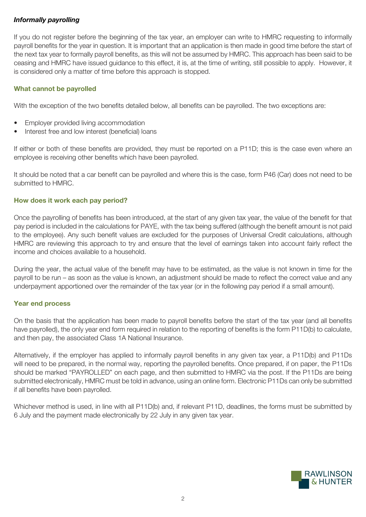## *Informally payrolling*

If you do not register before the beginning of the tax year, an employer can write to HMRC requesting to informally payroll benefits for the year in question. It is important that an application is then made in good time before the start of the next tax year to formally payroll benefits, as this will not be assumed by HMRC. This approach has been said to be ceasing and HMRC have issued guidance to this effect, it is, at the time of writing, still possible to apply. However, it is considered only a matter of time before this approach is stopped.

#### **What cannot be payrolled**

With the exception of the two benefits detailed below, all benefits can be payrolled. The two exceptions are:

- Employer provided living accommodation
- Interest free and low interest (beneficial) loans

If either or both of these benefits are provided, they must be reported on a P11D; this is the case even where an employee is receiving other benefits which have been payrolled.

It should be noted that a car benefit can be payrolled and where this is the case, form P46 (Car) does not need to be submitted to HMRC.

#### **How does it work each pay period?**

Once the payrolling of benefits has been introduced, at the start of any given tax year, the value of the benefit for that pay period is included in the calculations for PAYE, with the tax being suffered (although the benefit amount is not paid to the employee). Any such benefit values are excluded for the purposes of Universal Credit calculations, although HMRC are reviewing this approach to try and ensure that the level of earnings taken into account fairly reflect the income and choices available to a household.

During the year, the actual value of the benefit may have to be estimated, as the value is not known in time for the payroll to be run – as soon as the value is known, an adjustment should be made to reflect the correct value and any underpayment apportioned over the remainder of the tax year (or in the following pay period if a small amount).

#### **Year end process**

On the basis that the application has been made to payroll benefits before the start of the tax year (and all benefits have payrolled), the only year end form required in relation to the reporting of benefits is the form P11D(b) to calculate, and then pay, the associated Class 1A National Insurance.

Alternatively, if the employer has applied to informally payroll benefits in any given tax year, a P11D(b) and P11Ds will need to be prepared, in the normal way, reporting the payrolled benefits. Once prepared, if on paper, the P11Ds should be marked "PAYROLLED" on each page, and then submitted to HMRC via the post. If the P11Ds are being submitted electronically, HMRC must be told in advance, using an online form. Electronic P11Ds can only be submitted if all benefits have been payrolled.

Whichever method is used, in line with all P11D(b) and, if relevant P11D, deadlines, the forms must be submitted by 6 July and the payment made electronically by 22 July in any given tax year.

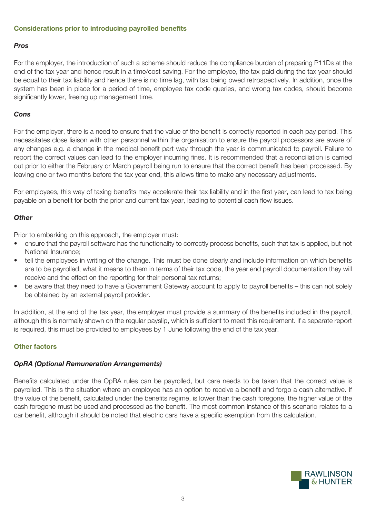#### **Considerations prior to introducing payrolled benefits**

#### *Pros*

For the employer, the introduction of such a scheme should reduce the compliance burden of preparing P11Ds at the end of the tax year and hence result in a time/cost saving. For the employee, the tax paid during the tax year should be equal to their tax liability and hence there is no time lag, with tax being owed retrospectively. In addition, once the system has been in place for a period of time, employee tax code queries, and wrong tax codes, should become significantly lower, freeing up management time.

#### *Cons*

For the employer, there is a need to ensure that the value of the benefit is correctly reported in each pay period. This necessitates close liaison with other personnel within the organisation to ensure the payroll processors are aware of any changes e.g. a change in the medical benefit part way through the year is communicated to payroll. Failure to report the correct values can lead to the employer incurring fines. It is recommended that a reconciliation is carried out prior to either the February or March payroll being run to ensure that the correct benefit has been processed. By leaving one or two months before the tax year end, this allows time to make any necessary adjustments.

For employees, this way of taxing benefits may accelerate their tax liability and in the first year, can lead to tax being payable on a benefit for both the prior and current tax year, leading to potential cash flow issues.

#### *Other*

Prior to embarking on this approach, the employer must:

- ensure that the payroll software has the functionality to correctly process benefits, such that tax is applied, but not National Insurance;
- tell the employees in writing of the change. This must be done clearly and include information on which benefits are to be payrolled, what it means to them in terms of their tax code, the year end payroll documentation they will receive and the effect on the reporting for their personal tax returns;
- be aware that they need to have a Government Gateway account to apply to payroll benefits this can not solely be obtained by an external payroll provider.

In addition, at the end of the tax year, the employer must provide a summary of the benefits included in the payroll, although this is normally shown on the regular payslip, which is sufficient to meet this requirement. If a separate report is required, this must be provided to employees by 1 June following the end of the tax year.

#### **Other factors**

#### *OpRA (Optional Remuneration Arrangements)*

Benefits calculated under the OpRA rules can be payrolled, but care needs to be taken that the correct value is payrolled. This is the situation where an employee has an option to receive a benefit and forgo a cash alternative. If the value of the benefit, calculated under the benefits regime, is lower than the cash foregone, the higher value of the cash foregone must be used and processed as the benefit. The most common instance of this scenario relates to a car benefit, although it should be noted that electric cars have a specific exemption from this calculation.

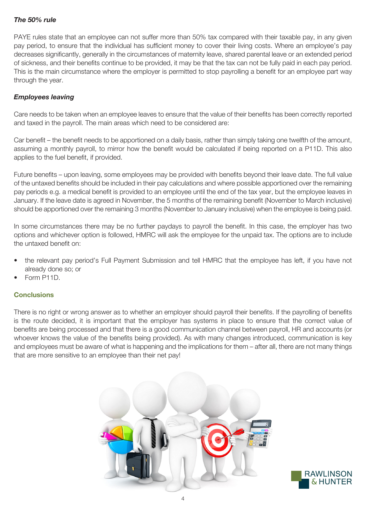## *The 50% rule*

PAYE rules state that an employee can not suffer more than 50% tax compared with their taxable pay, in any given pay period, to ensure that the individual has sufficient money to cover their living costs. Where an employee's pay decreases significantly, generally in the circumstances of maternity leave, shared parental leave or an extended period of sickness, and their benefits continue to be provided, it may be that the tax can not be fully paid in each pay period. This is the main circumstance where the employer is permitted to stop payrolling a benefit for an employee part way through the year.

#### *Employees leaving*

Care needs to be taken when an employee leaves to ensure that the value of their benefits has been correctly reported and taxed in the payroll. The main areas which need to be considered are:

Car benefit – the benefit needs to be apportioned on a daily basis, rather than simply taking one twelfth of the amount, assuming a monthly payroll, to mirror how the benefit would be calculated if being reported on a P11D. This also applies to the fuel benefit, if provided.

Future benefits – upon leaving, some employees may be provided with benefits beyond their leave date. The full value of the untaxed benefits should be included in their pay calculations and where possible apportioned over the remaining pay periods e.g. a medical benefit is provided to an employee until the end of the tax year, but the employee leaves in January. If the leave date is agreed in November, the 5 months of the remaining benefit (November to March inclusive) should be apportioned over the remaining 3 months (November to January inclusive) when the employee is being paid.

In some circumstances there may be no further paydays to payroll the benefit. In this case, the employer has two options and whichever option is followed, HMRC will ask the employee for the unpaid tax. The options are to include the untaxed benefit on:

- the relevant pay period's Full Payment Submission and tell HMRC that the employee has left, if you have not already done so; or
- Form P11D.

## **Conclusions**

There is no right or wrong answer as to whether an employer should payroll their benefits. If the payrolling of benefits is the route decided, it is important that the employer has systems in place to ensure that the correct value of benefits are being processed and that there is a good communication channel between payroll, HR and accounts (or whoever knows the value of the benefits being provided). As with many changes introduced, communication is key and employees must be aware of what is happening and the implications for them – after all, there are not many things that are more sensitive to an employee than their net pay!